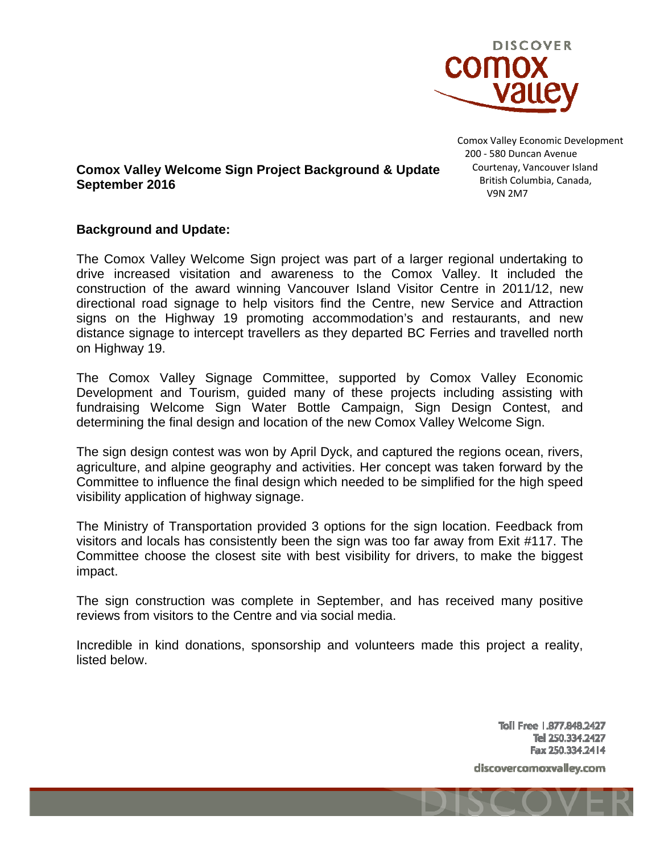

Comox Valley Economic Development

**Comox Valley Welcome Sign Project Background & Update**  200 ‐ 580 Duncan Avenue Courtenay, Vancouver Island British Columbia, Canada, V9N 2M7

# **September 2016**

## **Background and Update:**

The Comox Valley Welcome Sign project was part of a larger regional undertaking to drive increased visitation and awareness to the Comox Valley. It included the construction of the award winning Vancouver Island Visitor Centre in 2011/12, new directional road signage to help visitors find the Centre, new Service and Attraction signs on the Highway 19 promoting accommodation's and restaurants, and new distance signage to intercept travellers as they departed BC Ferries and travelled north on Highway 19.

The Comox Valley Signage Committee, supported by Comox Valley Economic Development and Tourism, guided many of these projects including assisting with fundraising Welcome Sign Water Bottle Campaign, Sign Design Contest, and determining the final design and location of the new Comox Valley Welcome Sign.

The sign design contest was won by April Dyck, and captured the regions ocean, rivers, agriculture, and alpine geography and activities. Her concept was taken forward by the Committee to influence the final design which needed to be simplified for the high speed visibility application of highway signage.

The Ministry of Transportation provided 3 options for the sign location. Feedback from visitors and locals has consistently been the sign was too far away from Exit #117. The Committee choose the closest site with best visibility for drivers, to make the biggest impact.

The sign construction was complete in September, and has received many positive reviews from visitors to the Centre and via social media.

Incredible in kind donations, sponsorship and volunteers made this project a reality, listed below.

> Toll Free 1.877.848.2427 Tel 250.334.2427 Fax 250.334.2414

discovercomoxvalley.com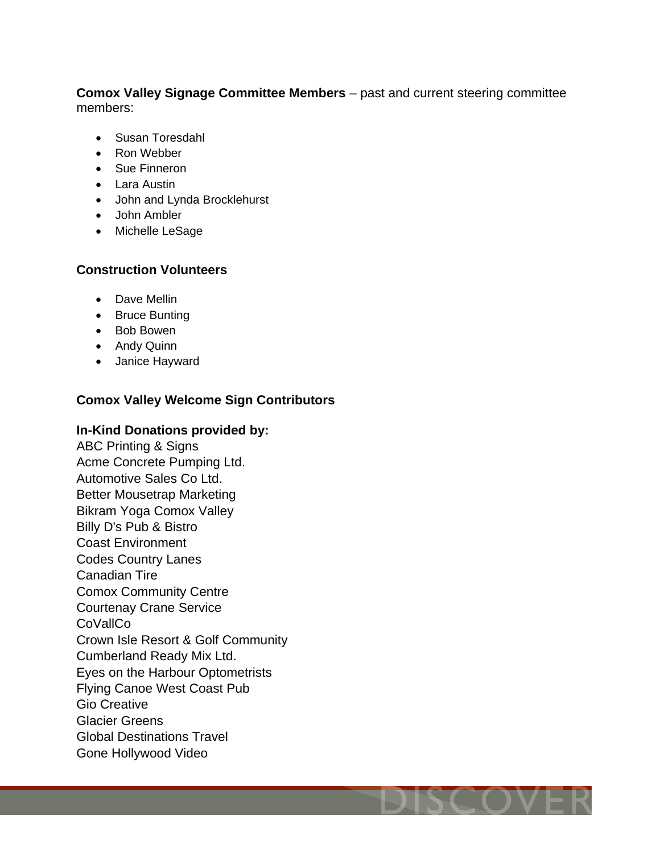#### **Comox Valley Signage Committee Members** – past and current steering committee members:

- Susan Toresdahl
- Ron Webber
- Sue Finneron
- Lara Austin
- John and Lynda Brocklehurst
- John Ambler
- Michelle LeSage

# **Construction Volunteers**

- Dave Mellin
- Bruce Bunting
- Bob Bowen
- Andy Quinn
- Janice Hayward

# **Comox Valley Welcome Sign Contributors**

## **In-Kind Donations provided by:**

ABC Printing & Signs Acme Concrete Pumping Ltd. Automotive Sales Co Ltd. Better Mousetrap Marketing Bikram Yoga Comox Valley Billy D's Pub & Bistro Coast Environment Codes Country Lanes Canadian Tire Comox Community Centre Courtenay Crane Service **CoVallCo** Crown Isle Resort & Golf Community Cumberland Ready Mix Ltd. Eyes on the Harbour Optometrists Flying Canoe West Coast Pub Gio Creative Glacier Greens Global Destinations Travel Gone Hollywood Video